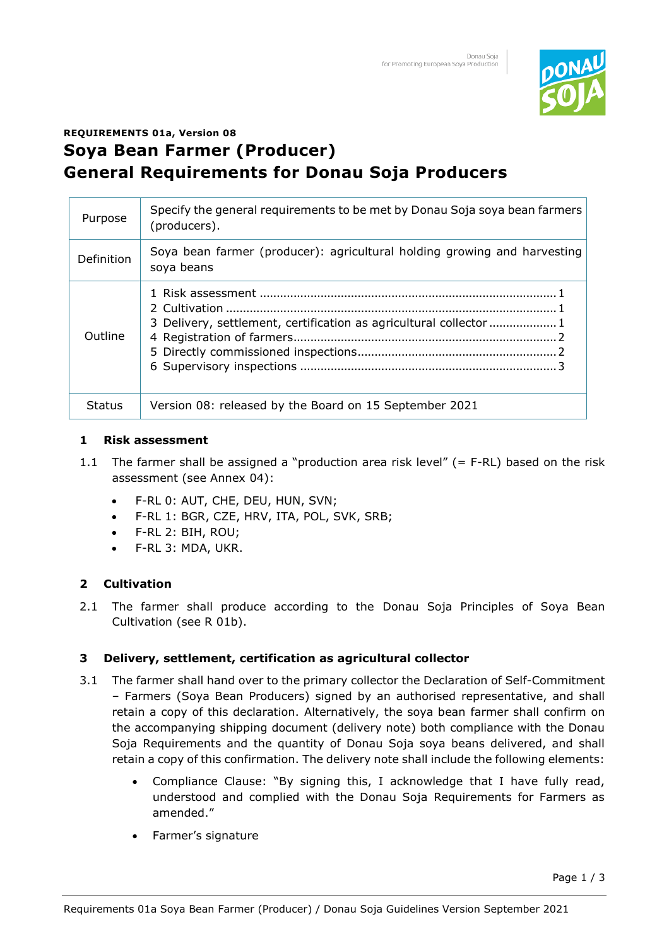

# **REQUIREMENTS 01a, Version 08 Soya Bean Farmer (Producer) General Requirements for Donau Soja Producers**

| Purpose           | Specify the general requirements to be met by Donau Soja soya bean farmers<br>(producers). |
|-------------------|--------------------------------------------------------------------------------------------|
| <b>Definition</b> | Soya bean farmer (producer): agricultural holding growing and harvesting<br>soya beans     |
| Outline           | 3 Delivery, settlement, certification as agricultural collector 1                          |
| Status            | Version 08: released by the Board on 15 September 2021                                     |

### **1 Risk assessment**

- 1.1 The farmer shall be assigned a "production area risk level" (= F-RL) based on the risk assessment (see Annex 04):
	- F-RL 0: AUT, CHE, DEU, HUN, SVN;
	- F-RL 1: BGR, CZE, HRV, ITA, POL, SVK, SRB;
	- F-RL 2: BIH, ROU;
	- F-RL 3: MDA, UKR.

## **2 Cultivation**

2.1 The farmer shall produce according to the Donau Soja Principles of Soya Bean Cultivation (see R 01b).

## **3 Delivery, settlement, certification as agricultural collector**

- 3.1 The farmer shall hand over to the primary collector the Declaration of Self-Commitment – Farmers (Soya Bean Producers) signed by an authorised representative, and shall retain a copy of this declaration. Alternatively, the soya bean farmer shall confirm on the accompanying shipping document (delivery note) both compliance with the Donau Soja Requirements and the quantity of Donau Soja soya beans delivered, and shall retain a copy of this confirmation. The delivery note shall include the following elements:
	- Compliance Clause: "By signing this, I acknowledge that I have fully read, understood and complied with the Donau Soja Requirements for Farmers as amended."
	- Farmer's signature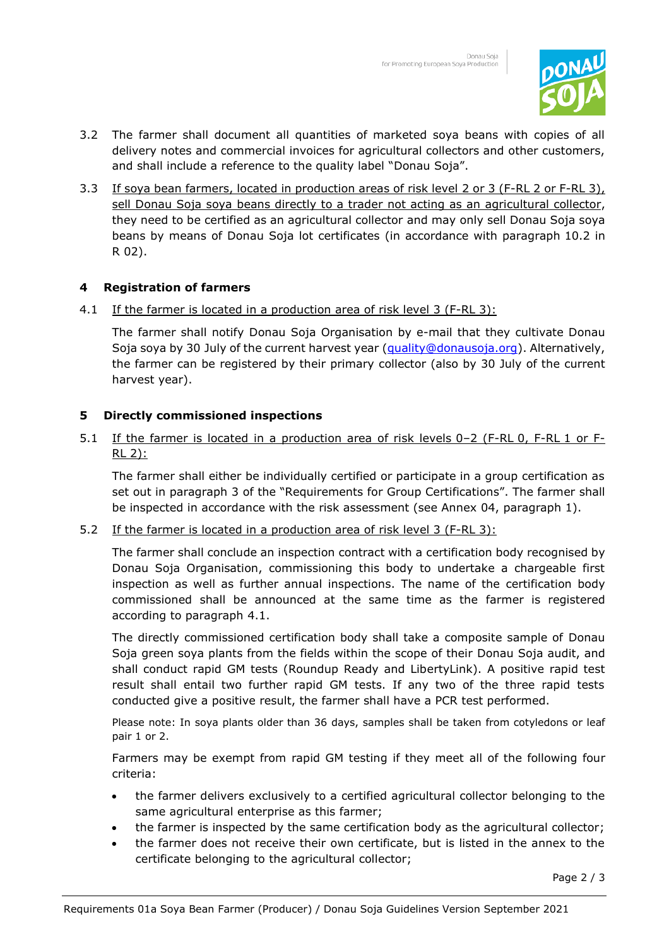

- 3.2 The farmer shall document all quantities of marketed soya beans with copies of all delivery notes and commercial invoices for agricultural collectors and other customers, and shall include a reference to the quality label "Donau Soja".
- 3.3 If soya bean farmers, located in production areas of risk level 2 or 3 (F-RL 2 or F-RL 3), sell Donau Soja soya beans directly to a trader not acting as an agricultural collector, they need to be certified as an agricultural collector and may only sell Donau Soja soya beans by means of Donau Soja lot certificates (in accordance with paragraph 10.2 in R 02).

## **4 Registration of farmers**

4.1 If the farmer is located in a production area of risk level 3 (F-RL 3):

The farmer shall notify Donau Soja Organisation by e-mail that they cultivate Donau Soja soya by 30 July of the current harvest year [\(quality@donausoja.org\)](mailto:quality@donausoja.org). Alternatively, the farmer can be registered by their primary collector (also by 30 July of the current harvest year).

### **5 Directly commissioned inspections**

5.1 If the farmer is located in a production area of risk levels 0–2 (F-RL 0, F-RL 1 or F-RL 2):

The farmer shall either be individually certified or participate in a group certification as set out in paragraph 3 of the "Requirements for Group Certifications". The farmer shall be inspected in accordance with the risk assessment (see Annex 04, paragraph 1).

5.2 If the farmer is located in a production area of risk level 3 (F-RL 3):

The farmer shall conclude an inspection contract with a certification body recognised by Donau Soja Organisation, commissioning this body to undertake a chargeable first inspection as well as further annual inspections. The name of the certification body commissioned shall be announced at the same time as the farmer is registered according to paragraph 4.1.

The directly commissioned certification body shall take a composite sample of Donau Soja green soya plants from the fields within the scope of their Donau Soja audit, and shall conduct rapid GM tests (Roundup Ready and LibertyLink). A positive rapid test result shall entail two further rapid GM tests. If any two of the three rapid tests conducted give a positive result, the farmer shall have a PCR test performed.

Please note: In soya plants older than 36 days, samples shall be taken from cotyledons or leaf pair 1 or 2.

Farmers may be exempt from rapid GM testing if they meet all of the following four criteria:

- the farmer delivers exclusively to a certified agricultural collector belonging to the same agricultural enterprise as this farmer;
- the farmer is inspected by the same certification body as the agricultural collector;
- the farmer does not receive their own certificate, but is listed in the annex to the certificate belonging to the agricultural collector;